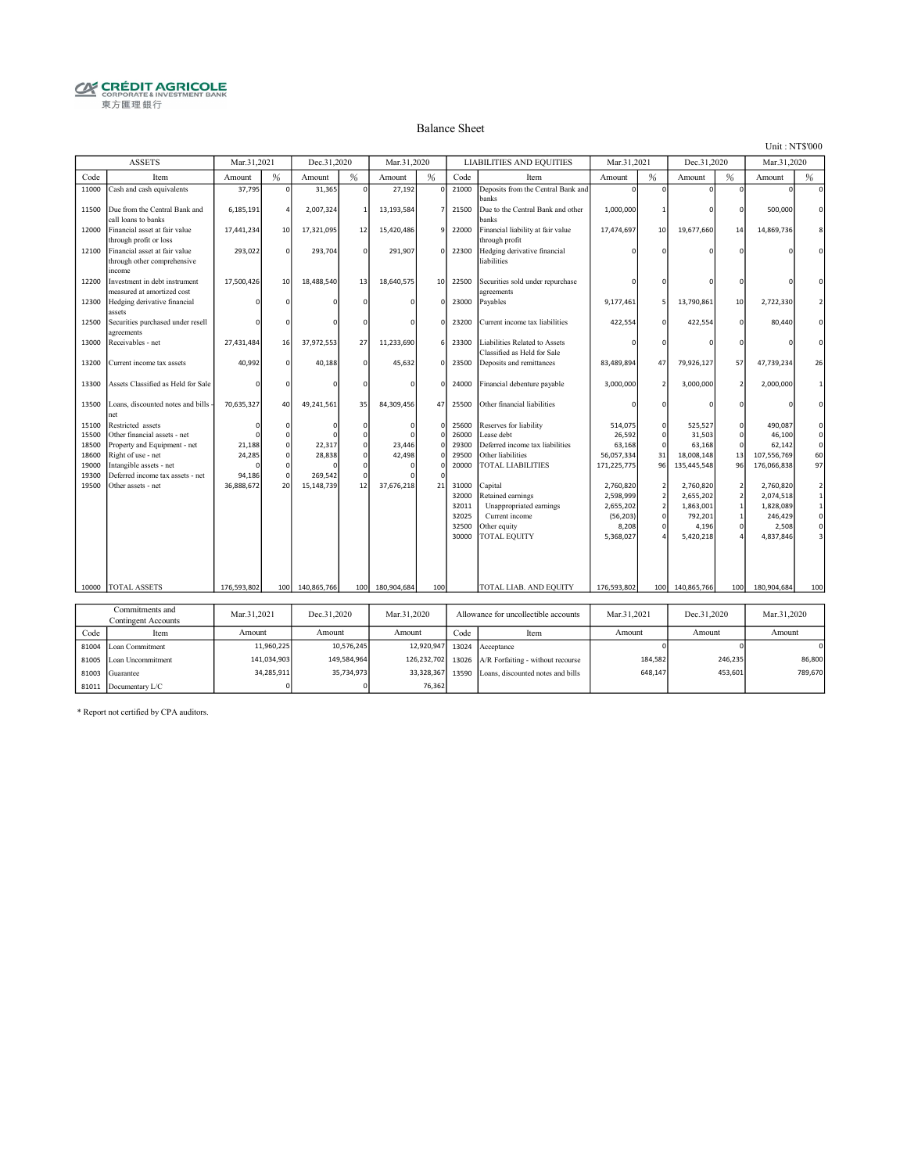# **CRÉDIT AGRICOLE**<br> **CORPORATE& INVESTMENT BANK**<br>
東方匯理銀行

#### Balance Sheet

Unit : NT\$'000

|                                           | <b>ASSETS</b>                                                                                                                                                          | Mar.31.2021          |          | Dec.31.2020           |          | Mar.31.2020      |                                                             |                                                    | <b>LIABILITIES AND EQUITIES</b>                                                                                   | Mar.31.2021                                                            |                                                                                        | Dec.31.2020                                                          |                     | Mar.31.2020                                                          |                                                                                               |
|-------------------------------------------|------------------------------------------------------------------------------------------------------------------------------------------------------------------------|----------------------|----------|-----------------------|----------|------------------|-------------------------------------------------------------|----------------------------------------------------|-------------------------------------------------------------------------------------------------------------------|------------------------------------------------------------------------|----------------------------------------------------------------------------------------|----------------------------------------------------------------------|---------------------|----------------------------------------------------------------------|-----------------------------------------------------------------------------------------------|
| Code                                      | Item                                                                                                                                                                   | Amount               | %        | Amount                | %        | Amount           | %                                                           | Code                                               | Item                                                                                                              | Amount                                                                 | %                                                                                      | Amount                                                               | %                   | Amount                                                               | %                                                                                             |
| 11000                                     | Cash and cash equivalents                                                                                                                                              | 37,795               | $\Omega$ | 31,365                | $\Omega$ | 27,192           | $\Omega$                                                    | 21000                                              | Deposits from the Central Bank and<br>banks                                                                       | $\Omega$                                                               | $\Omega$                                                                               | $\Omega$                                                             | O                   | $\Omega$                                                             | $\Omega$                                                                                      |
| 11500                                     | Due from the Central Bank and<br>call loans to banks                                                                                                                   | 6,185,191            |          | 2,007,324             |          | 13,193,584       |                                                             | 21500                                              | Due to the Central Bank and other<br>hanks                                                                        | 1,000,000                                                              | -1                                                                                     |                                                                      |                     | 500,000                                                              | $\Omega$                                                                                      |
| 12000                                     | Financial asset at fair value<br>through profit or loss                                                                                                                | 17,441,234           | 10       | 17,321,095            | 12       | 15,420,486       | 9                                                           | 22000                                              | Financial liability at fair value<br>through profit                                                               | 17,474,697                                                             | 10                                                                                     | 19,677,660                                                           | 14                  | 14,869,736                                                           |                                                                                               |
| 12100                                     | Financial asset at fair value<br>through other comprehensive<br>income                                                                                                 | 293,022              | $\Omega$ | 293,704               | $\Omega$ | 291,907          | $\Omega$                                                    | 22300                                              | Hedging derivative financial<br>liabilities                                                                       |                                                                        |                                                                                        |                                                                      |                     |                                                                      |                                                                                               |
| 12200                                     | Investment in debt instrument<br>measured at amortized cost                                                                                                            | 17,500,426           | 10       | 18,488,540            | 13       | 18,640,575       | 10                                                          | 22500                                              | Securities sold under repurchase<br>agreements                                                                    |                                                                        |                                                                                        |                                                                      |                     |                                                                      |                                                                                               |
| 12300                                     | Hedging derivative financial<br>assets                                                                                                                                 |                      |          |                       |          |                  | $\Omega$                                                    | 23000                                              | Payables                                                                                                          | 9,177,461                                                              | 5                                                                                      | 13,790,861                                                           | 10                  | 2,722,330                                                            | $\overline{2}$                                                                                |
| 12500                                     | Securities purchased under resell<br>agreements                                                                                                                        |                      |          |                       |          |                  | $\Omega$                                                    | 23200                                              | Current income tax liabilities                                                                                    | 422,554                                                                | $\Omega$                                                                               | 422,554                                                              | O                   | 80,440                                                               | $\Omega$                                                                                      |
| 13000                                     | Receivables - net                                                                                                                                                      | 27,431,484           | 16       | 37,972,553            | 27       | 11,233,690       | 6                                                           | 23300                                              | Liabilities Related to Assets<br>Classified as Held for Sale                                                      |                                                                        | $\Omega$                                                                               |                                                                      |                     |                                                                      | $\Omega$                                                                                      |
| 13200                                     | Current income tax assets                                                                                                                                              | 40,992               |          | 40,188                |          | 45,632           | $\Omega$                                                    | 23500                                              | Deposits and remittances                                                                                          | 83,489,894                                                             | 47                                                                                     | 79,926,127                                                           | 57                  | 47,739,234                                                           | 26                                                                                            |
| 13300                                     | Assets Classified as Held for Sale                                                                                                                                     |                      |          |                       |          |                  | $\Omega$                                                    | 24000                                              | Financial debenture payable                                                                                       | 3.000.000                                                              | $\overline{\phantom{a}}$                                                               | 3,000,000                                                            | $\mathcal{P}$       | 2,000,000                                                            | 1                                                                                             |
| 13500                                     | Loans, discounted notes and bills -<br>net                                                                                                                             | 70,635,327           | 40       | 49,241,561            | 35       | 84,309,456       | 47                                                          | 25500                                              | Other financial liabilities                                                                                       |                                                                        | $\Omega$                                                                               |                                                                      |                     |                                                                      | $\Omega$                                                                                      |
| 15100<br>15500<br>18500<br>18600<br>19000 | Restricted assets<br>Other financial assets - net<br>Property and Equipment - net<br>Right of use - net<br>Intangible assets - net<br>Deferred income tax assets - net | 21,188<br>24,285     |          | 22,317<br>28,838      | Ò        | 23,446<br>42,498 | $\mathbf 0$<br>$\Omega$<br>$\Omega$<br>$\Omega$<br>$\Omega$ | 25600<br>26000<br>29300<br>29500<br>20000          | Reserves for liability<br>Lease debt<br>Deferred income tax liabilities<br>Other liabilities<br>TOTAL LIABILITIES | 514.075<br>26,592<br>63,168<br>56,057,334<br>171,225,775               | $\mathbf 0$<br>$\mathbf 0$<br>$\mathbf 0$<br>31<br>96                                  | 525.527<br>31,503<br>63,168<br>18,008,148<br>135,445,548             | 0<br>13<br>96       | 490.087<br>46,100<br>62,142<br>107,556,769<br>176,066,838            | $\Omega$<br>$\mathsf{o}\xspace$<br>$\mathsf{O}\xspace$<br>60<br>97                            |
| 19300<br>19500                            | Other assets - net                                                                                                                                                     | 94,186<br>36,888,672 | 20       | 269,542<br>15,148,739 | 12       | 37,676,218       | 21                                                          | 31000<br>32000<br>32011<br>32025<br>32500<br>30000 | Capital<br>Retained earnings<br>Unappropriated earnings<br>Current income<br>Other equity<br>TOTAL EQUITY         | 2,760,820<br>2.598.999<br>2,655,202<br>(56, 203)<br>8,208<br>5,368,027 | $\overline{\mathbf{2}}$<br>$\overline{2}$<br>$\overline{2}$<br>$\Omega$<br>$\mathbf 0$ | 2,760,820<br>2.655.202<br>1,863,001<br>792.201<br>4,196<br>5,420,218 | 2<br>$\overline{2}$ | 2,760,820<br>2,074,518<br>1,828,089<br>246.429<br>2,508<br>4,837,846 | $\mathbf 2$<br>$\mathbf{1}$<br>$1\,$<br>$\mathsf{o}$<br>$\mathsf{O}\xspace$<br>$\overline{3}$ |
| 10000                                     | <b>TOTAL ASSETS</b>                                                                                                                                                    | 176,593,802          | 100      | 140,865,766           | 100      | 180.904.684      | 100                                                         |                                                    | TOTAL LIAB. AND EQUITY                                                                                            | 176.593.802                                                            | 100 <sup>1</sup>                                                                       | 140,865,766                                                          | 100                 | 180,904,684                                                          | 100                                                                                           |
|                                           | Commitments and                                                                                                                                                        | Mar.31,2021          |          | Dec.31,2020           |          | Mar.31,2020      |                                                             |                                                    | Allowance for uncollectible accounts                                                                              | Mar.31,2021                                                            |                                                                                        | Dec.31,2020                                                          |                     | Mar.31,2020                                                          |                                                                                               |
| Code                                      | <b>Contingent Accounts</b><br>Item                                                                                                                                     | Amount               |          | Amount                |          | Amount           |                                                             | Code                                               | Item                                                                                                              | Amount                                                                 |                                                                                        | Amount                                                               |                     | Amount                                                               |                                                                                               |

|       | Сопшниненіз апа-<br><b>Contingent Accounts</b> | Mar.31.2021 | Dec.31.2020 | Mar.31.2020 |      | Allowance for uncollectible accounts      | Mar.31.2021 | Dec.31.2020 | Mar.31.2020 |
|-------|------------------------------------------------|-------------|-------------|-------------|------|-------------------------------------------|-------------|-------------|-------------|
| Code  | Item                                           | Amount      | Amount      | Amount      | Code | Item                                      | Amount      | Amount      | Amount      |
|       | 81004 Loan Commitment                          | 11.960.225  | 10.576.245  | 12,920,947  |      | 13024 Acceptance                          |             |             | $\Omega$    |
| 81005 | Loan Uncommitment                              | 141.034.903 | 149.584.964 | 126.232.702 |      | 13026 $A/R$ Forfaiting - without recourse | 184.582     | 246.235     | 86,800      |
|       | 81003 Guarantee                                | 34,285,911  | 35.734.973  | 33.328.367  |      | 13590 Loans, discounted notes and bills   | 648.147     | 453.601     | 789,670     |
|       | 81011 Documentary L/C                          |             |             | 76,362      |      |                                           |             |             |             |

\* Report not certified by CPA auditors.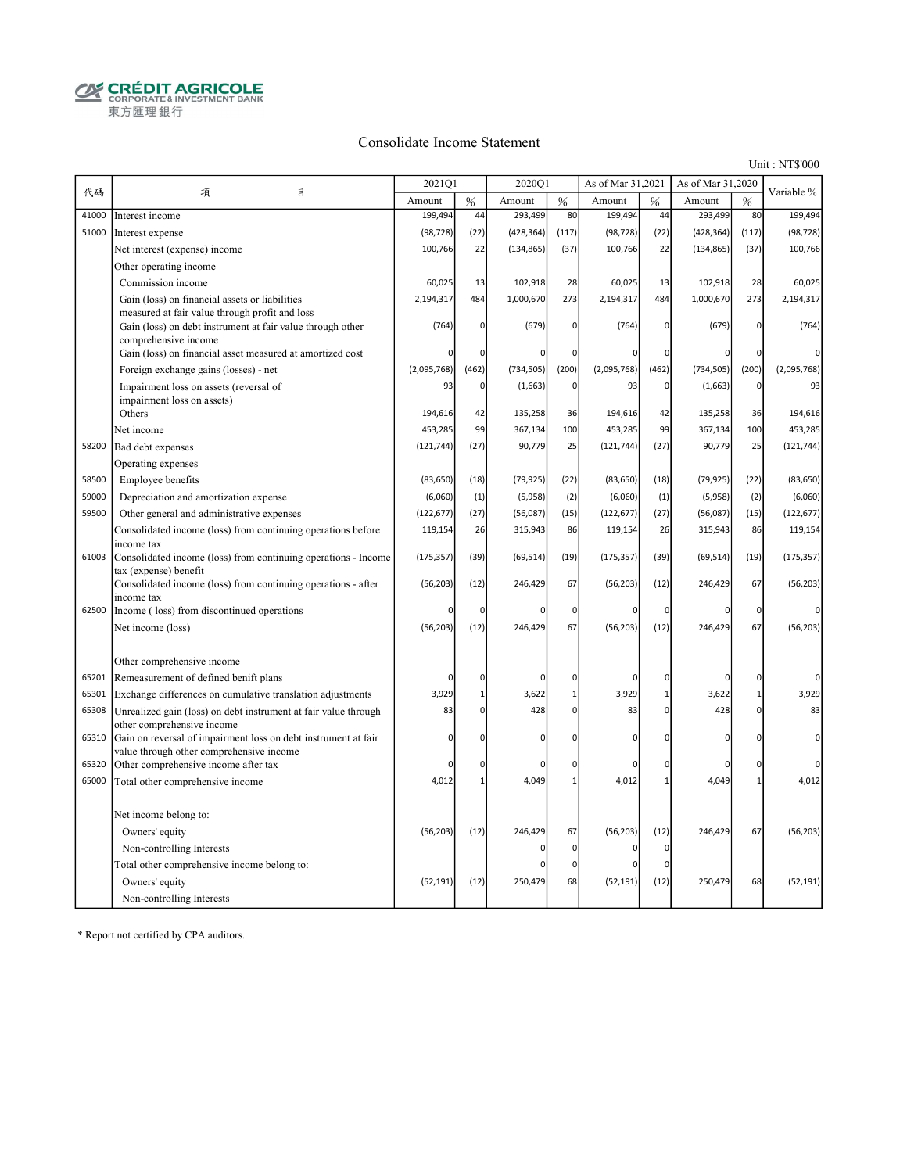$\begin{array}{ll}\begin{array}{ll}\mathbf{Q} & \mathbf{C}\mathbf{R}\mathbf{\acute{E}}\mathbf{D}\mathbf{I}\mathbf{T}\mathbf{A}\mathbf{G}\mathbf{R}\mathbf{I}\mathbf{C}\mathbf{O}\mathbf{L}\mathbf{E}\\\mathbf{C}\mathbf{R}\mathbf{P}\mathbf{O}\mathbf{R}\mathbf{A}\mathbf{T}\mathbf{E}\&\mathbf{I}\mathbf{N}\mathbf{V}\mathbf{E}\mathbf{S}\mathbf{T}\mathbf{M}\mathbf{E}\mathbf{N}\mathbf{T}\mathbf{B}\mathbf{A}\mathbf{N}\mathbf{K}\end{array}\end{array}$ 東方匯理銀行

#### Consolidate Income Statement

Unit : NT\$'000

|       |                                                                                                              | 2021Q1      |              | 2020Q1     |                | As of Mar 31,2021 |                | As of Mar 31,2020 |                | Variable %  |
|-------|--------------------------------------------------------------------------------------------------------------|-------------|--------------|------------|----------------|-------------------|----------------|-------------------|----------------|-------------|
| 代碼    | 目<br>項                                                                                                       | Amount      | %            | Amount     | $\%$           | Amount            | $\frac{0}{6}$  | Amount            | $\frac{9}{6}$  |             |
| 41000 | Interest income                                                                                              | 199,494     | 44           | 293,499    | 80             | 199,494           | 44             | 293,499           | 80             | 199,494     |
| 51000 | Interest expense                                                                                             | (98, 728)   | (22)         | (428, 364) | (117)          | (98, 728)         | (22)           | (428, 364)        | (117)          | (98, 728)   |
|       | Net interest (expense) income                                                                                | 100,766     | 22           | (134, 865) | (37)           | 100,766           | 22             | (134, 865)        | (37)           | 100,766     |
|       | Other operating income                                                                                       |             |              |            |                |                   |                |                   |                |             |
|       | Commission income                                                                                            | 60,025      | 13           | 102,918    | 28             | 60,025            | 13             | 102,918           | 28             | 60,025      |
|       | Gain (loss) on financial assets or liabilities                                                               | 2,194,317   | 484          | 1,000,670  | 273            | 2,194,317         | 484            | 1,000,670         | 273            | 2,194,317   |
|       | measured at fair value through profit and loss<br>Gain (loss) on debt instrument at fair value through other | (764)       |              | (679)      | 0              | (764)             | $\mathbf 0$    | (679)             | $\overline{0}$ | (764)       |
|       | comprehensive income                                                                                         |             | 0            |            |                |                   |                |                   |                |             |
|       | Gain (loss) on financial asset measured at amortized cost                                                    | 0           | $\mathbf 0$  |            | 0              | $\Omega$          | $\mathbf 0$    | $\Omega$          | $\Omega$       | $\Omega$    |
|       | Foreign exchange gains (losses) - net                                                                        | (2,095,768) | (462)        | (734, 505) | (200)          | (2,095,768)       | (462)          | (734, 505)        | (200)          | (2,095,768) |
|       | Impairment loss on assets (reversal of                                                                       | 93          | 0            | (1,663)    | $\overline{0}$ | 93                | $\mathbf 0$    | (1,663)           | $\overline{0}$ | 93          |
|       | impairment loss on assets)                                                                                   |             |              |            |                |                   |                |                   |                |             |
|       | Others                                                                                                       | 194,616     | 42           | 135,258    | 36             | 194,616           | 42             | 135,258           | 36             | 194,616     |
|       | Net income                                                                                                   | 453,285     | 99           | 367,134    | 100            | 453,285           | 99             | 367,134           | 100            | 453,285     |
| 58200 | Bad debt expenses                                                                                            | (121, 744)  | (27)         | 90,779     | 25             | (121, 744)        | (27)           | 90,779            | 25             | (121, 744)  |
|       | Operating expenses                                                                                           |             |              |            |                |                   |                |                   |                |             |
| 58500 | Employee benefits                                                                                            | (83, 650)   | (18)         | (79, 925)  | (22)           | (83, 650)         | (18)           | (79, 925)         | (22)           | (83, 650)   |
| 59000 | Depreciation and amortization expense                                                                        | (6,060)     | (1)          | (5,958)    | (2)            | (6,060)           | (1)            | (5,958)           | (2)            | (6,060)     |
| 59500 | Other general and administrative expenses                                                                    | (122, 677)  | (27)         | (56,087)   | (15)           | (122, 677)        | (27)           | (56,087)          | (15)           | (122, 677)  |
|       | Consolidated income (loss) from continuing operations before<br>income tax                                   | 119,154     | 26           | 315,943    | 86             | 119,154           | 26             | 315,943           | 86             | 119,154     |
| 61003 | Consolidated income (loss) from continuing operations - Income<br>tax (expense) benefit                      | (175, 357)  | (39)         | (69, 514)  | (19)           | (175, 357)        | (39)           | (69, 514)         | (19)           | (175, 357)  |
|       | Consolidated income (loss) from continuing operations - after<br>income tax                                  | (56, 203)   | (12)         | 246,429    | 67             | (56, 203)         | (12)           | 246,429           | 67             | (56, 203)   |
| 62500 | Income (loss) from discontinued operations                                                                   | 0           | 0            | n          | $\mathbf 0$    | 0                 | $\overline{0}$ | $\Omega$          | $\overline{0}$ | n           |
|       | Net income (loss)                                                                                            | (56, 203)   | (12)         | 246,429    | 67             | (56, 203)         | (12)           | 246,429           | 67             | (56, 203)   |
|       |                                                                                                              |             |              |            |                |                   |                |                   |                |             |
|       | Other comprehensive income                                                                                   |             |              |            |                |                   |                |                   |                |             |
| 65201 | Remeasurement of defined benift plans                                                                        | $\mathbf 0$ | $\mathbf 0$  | n          | 0              | $\Omega$          | $\Omega$       | $\mathcal{C}$     | $\overline{0}$ | O           |
| 65301 | Exchange differences on cumulative translation adjustments                                                   | 3,929       | $\mathbf{1}$ | 3,622      | $\mathbf{1}$   | 3,929             | $\mathbf{1}$   | 3,622             | $\mathbf{1}$   | 3,929       |
| 65308 | Unrealized gain (loss) on debt instrument at fair value through                                              | 83          | 0            | 428        | 0              | 83                | $\mathbf 0$    | 428               | $\overline{0}$ | 83          |
|       | other comprehensive income                                                                                   | $\mathbf 0$ | O            |            |                | $\Omega$          | $\Omega$       | $\Omega$          | $\overline{0}$ | 0           |
| 65310 | Gain on reversal of impairment loss on debt instrument at fair<br>value through other comprehensive income   |             |              | n          | 0              |                   |                |                   |                |             |
| 65320 | Other comprehensive income after tax                                                                         | 0           | 0            | n          | 0              | $\Omega$          | $\Omega$       | $\Omega$          | 0              |             |
| 65000 | Total other comprehensive income                                                                             | 4,012       | $\mathbf{1}$ | 4,049      | 1              | 4,012             | $\mathbf{1}$   | 4,049             | $\mathbf{1}$   | 4,012       |
|       |                                                                                                              |             |              |            |                |                   |                |                   |                |             |
|       | Net income belong to:                                                                                        |             |              |            |                |                   |                |                   |                |             |
|       | Owners' equity                                                                                               | (56, 203)   | (12)         | 246,429    | 67             | (56, 203)         | (12)           | 246,429           | 67             | (56, 203)   |
|       | Non-controlling Interests                                                                                    |             |              |            | 0              | O                 | $\Omega$       |                   |                |             |
|       | Total other comprehensive income belong to:                                                                  |             |              |            | 0              | O                 | $\epsilon$     |                   |                |             |
|       | Owners' equity                                                                                               | (52, 191)   | (12)         | 250,479    | 68             | (52, 191)         | (12)           | 250,479           | 68             | (52, 191)   |
|       | Non-controlling Interests                                                                                    |             |              |            |                |                   |                |                   |                |             |

\* Report not certified by CPA auditors.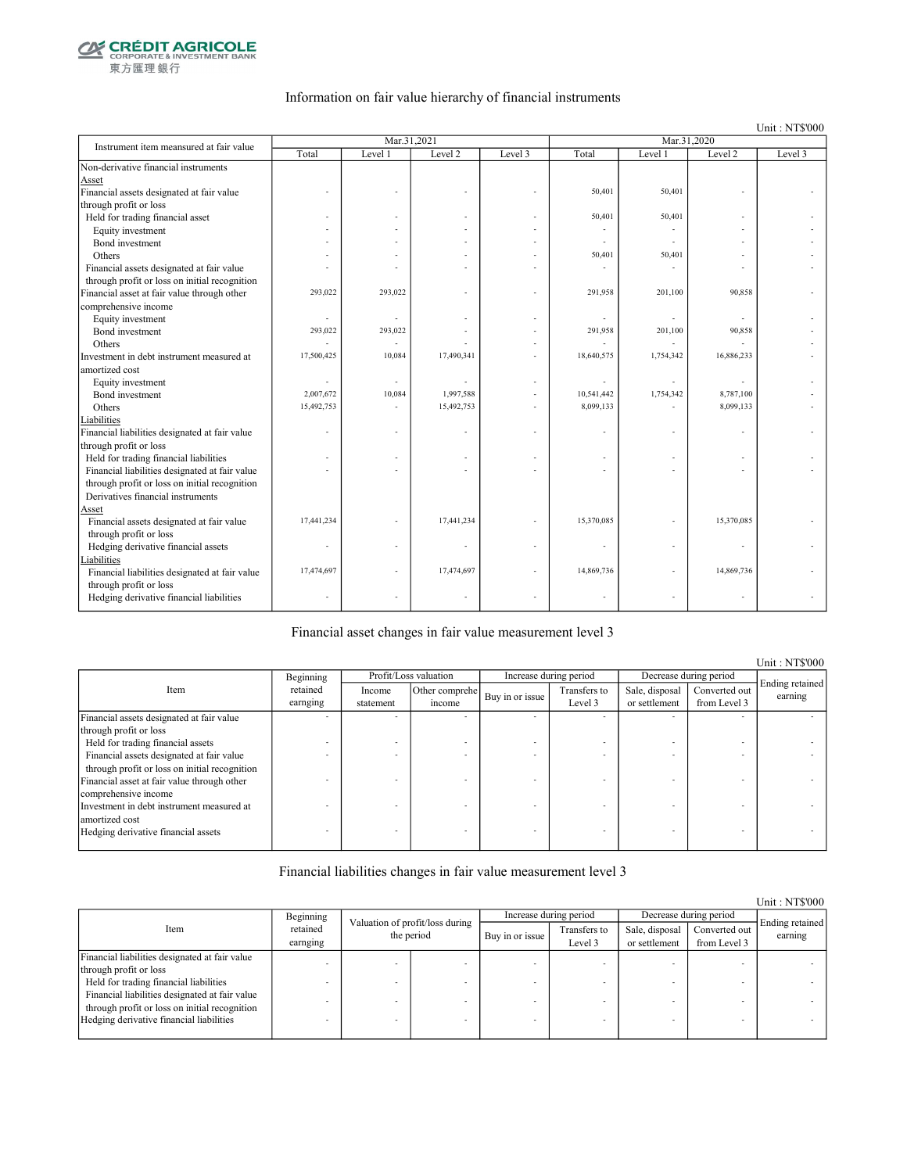

東方匯理銀行

#### Information on fair value hierarchy of financial instruments

Unit : NT\$'000

| Instrument item meansured at fair value        |            | Mar.31,2021 |            |         |            | Mar.31,2020 |                |         |
|------------------------------------------------|------------|-------------|------------|---------|------------|-------------|----------------|---------|
|                                                | Total      | Level 1     | Level 2    | Level 3 | Total      | Level 1     | Level 2        | Level 3 |
| Non-derivative financial instruments           |            |             |            |         |            |             |                |         |
| Asset                                          |            |             |            |         |            |             |                |         |
| Financial assets designated at fair value      |            |             |            |         | 50,401     | 50,401      |                |         |
| through profit or loss                         |            |             |            |         |            |             |                |         |
| Held for trading financial asset               |            |             |            |         | 50,401     | 50,401      |                |         |
| Equity investment                              |            |             |            |         |            |             |                |         |
| Bond investment                                |            |             |            |         |            |             |                |         |
| Others                                         |            |             |            |         | 50,401     | 50,401      |                |         |
| Financial assets designated at fair value      |            |             |            |         |            |             |                |         |
| through profit or loss on initial recognition  |            |             |            |         |            |             |                |         |
| Financial asset at fair value through other    | 293,022    | 293,022     |            |         | 291,958    | 201,100     | 90,858         |         |
| comprehensive income                           |            |             |            |         |            |             |                |         |
| Equity investment                              | ä,         |             |            |         |            |             | $\overline{a}$ |         |
| Bond investment                                | 293,022    | 293,022     |            |         | 291,958    | 201,100     | 90,858         |         |
| Others                                         |            |             |            |         |            |             |                |         |
| Investment in debt instrument measured at      | 17,500,425 | 10,084      | 17,490,341 |         | 18,640,575 | 1,754,342   | 16,886,233     |         |
| amortized cost                                 |            |             |            |         |            |             |                |         |
| Equity investment                              |            |             |            |         |            |             |                |         |
| Bond investment                                | 2,007,672  | 10,084      | 1,997,588  |         | 10,541,442 | 1,754,342   | 8,787,100      |         |
| Others                                         | 15,492,753 |             | 15,492,753 |         | 8,099,133  |             | 8,099,133      |         |
| Liabilities                                    |            |             |            |         |            |             |                |         |
| Financial liabilities designated at fair value |            |             |            |         |            |             |                |         |
| through profit or loss                         |            |             |            |         |            |             |                |         |
| Held for trading financial liabilities         |            |             |            |         |            |             |                |         |
| Financial liabilities designated at fair value |            |             |            |         |            |             |                |         |
| through profit or loss on initial recognition  |            |             |            |         |            |             |                |         |
| Derivatives financial instruments              |            |             |            |         |            |             |                |         |
| Asset                                          |            |             |            |         |            |             |                |         |
| Financial assets designated at fair value      | 17,441,234 |             | 17,441,234 |         | 15,370,085 |             | 15,370,085     |         |
| through profit or loss                         |            |             |            |         |            |             |                |         |
| Hedging derivative financial assets            |            |             |            |         |            |             |                |         |
| Liabilities                                    |            |             |            |         |            |             |                |         |
| Financial liabilities designated at fair value | 17,474,697 |             | 17,474,697 |         | 14,869,736 |             | 14,869,736     |         |
| through profit or loss                         |            |             |            |         |            |             |                |         |
| Hedging derivative financial liabilities       |            |             |            |         |            |             | ÷              |         |
|                                                |            |             |            |         |            |             |                |         |

Financial asset changes in fair value measurement level 3

Income statement Other comprehe  $\begin{array}{c|c}\n\text{er complete} \\
\text{if the same line} \\
\text{if the same line} \\
\end{array}$ Level 3 Sale, disposal or settlement Converted out from Level 3 Financial assets designated at fair value through profit or loss - - - - - - - - Held for trading financial assets  $\blacksquare$ <br>Financial assets designated at fair value Financial assets designated at fair value through profit or loss on initial recognition - - - - - - - - Financial asset at fair value through other comprehensive income - - - - - - - - Investment in debt instrument measured at amortized cost - - - - - - - - Hedging derivative financial assets Ending retained earning Beginning retained earnging Item Profit/Loss valuation Increase during period Decrease during period

Financial liabilities changes in fair value measurement level 3

|                                                |                      |                                               |  |                 |                         |                                 |                               | Unit: NT\$000              |
|------------------------------------------------|----------------------|-----------------------------------------------|--|-----------------|-------------------------|---------------------------------|-------------------------------|----------------------------|
|                                                | Beginning            |                                               |  |                 | Increase during period  |                                 | Decrease during period        |                            |
| Item                                           | retained<br>earnging | Valuation of profit/loss during<br>the period |  | Buy in or issue | Transfers to<br>Level 3 | Sale, disposal<br>or settlement | Converted out<br>from Level 3 | Ending retained<br>earning |
| Financial liabilities designated at fair value |                      |                                               |  |                 |                         |                                 |                               |                            |
| through profit or loss                         |                      |                                               |  |                 |                         |                                 |                               |                            |
| Held for trading financial liabilities         |                      |                                               |  |                 |                         |                                 |                               |                            |
| Financial liabilities designated at fair value |                      |                                               |  |                 |                         |                                 |                               |                            |
| through profit or loss on initial recognition  |                      |                                               |  |                 |                         |                                 |                               |                            |
| Hedging derivative financial liabilities       |                      |                                               |  |                 |                         |                                 | -                             |                            |
|                                                |                      |                                               |  |                 |                         |                                 |                               |                            |

Unit : NT\$'000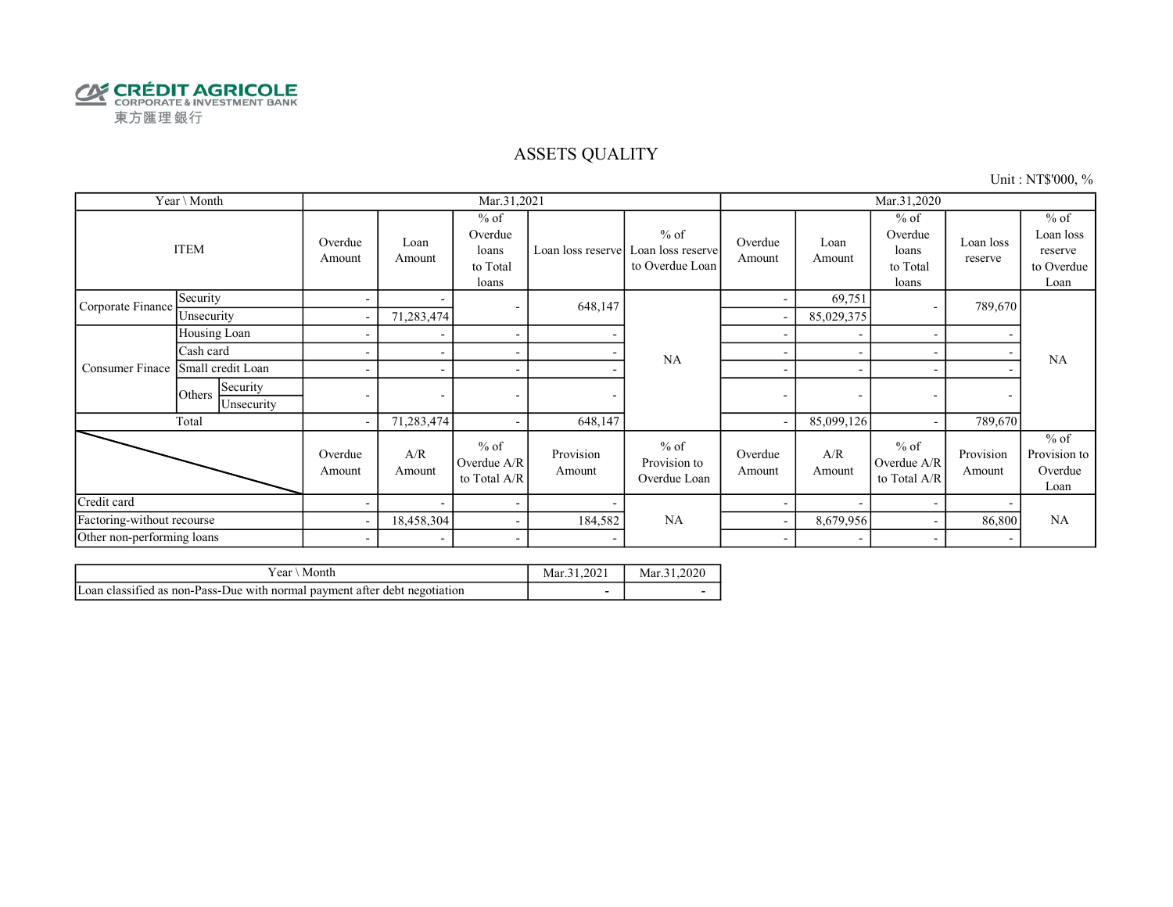

#### ASSETS QUALITY

Unit : NT\$'000, %

|                            | Year \ Month                     |                          |                          | Mar.31,2021                                     |                          |                                                |                          |                          | Mar.31,2020                                     |                          |                                                      |
|----------------------------|----------------------------------|--------------------------|--------------------------|-------------------------------------------------|--------------------------|------------------------------------------------|--------------------------|--------------------------|-------------------------------------------------|--------------------------|------------------------------------------------------|
|                            | <b>ITEM</b>                      | Overdue<br>Amount        | Loan<br>Amount           | $%$ of<br>Overdue<br>loans<br>to Total<br>loans | Loan loss reserve        | $%$ of<br>Loan loss reserve<br>to Overdue Loan | Overdue<br>Amount        | Loan<br>Amount           | $%$ of<br>Overdue<br>loans<br>to Total<br>loans | Loan loss<br>reserve     | $%$ of<br>Loan loss<br>reserve<br>to Overdue<br>Loan |
| Corporate Finance          | Security                         | $\overline{\phantom{0}}$ |                          | $\overline{\phantom{a}}$                        | 648,147                  |                                                |                          | 69,751                   |                                                 | 789,670                  |                                                      |
|                            | Unsecurity                       | $\overline{\phantom{a}}$ | 71,283,474               |                                                 |                          |                                                |                          | 85,029,375               |                                                 |                          |                                                      |
|                            | Housing Loan                     | ۰                        |                          | $\overline{\phantom{a}}$                        |                          |                                                |                          |                          |                                                 | $\overline{\phantom{0}}$ |                                                      |
|                            | Cash card                        |                          |                          | $\overline{\phantom{a}}$                        |                          | <b>NA</b>                                      |                          |                          |                                                 |                          | <b>NA</b>                                            |
| Consumer Finace            | Small credit Loan                |                          | $\overline{\phantom{a}}$ | $\overline{\phantom{a}}$                        |                          |                                                | $\overline{\phantom{a}}$ |                          |                                                 |                          |                                                      |
|                            | Security<br>Others<br>Unsecurity | $\overline{\phantom{0}}$ | $\overline{\phantom{a}}$ | $\overline{\phantom{a}}$                        | ٠                        |                                                | $\overline{\phantom{a}}$ | $\overline{\phantom{a}}$ | $\overline{\phantom{a}}$                        | $\overline{\phantom{a}}$ |                                                      |
|                            | Total                            | $\overline{\phantom{a}}$ | 71,283,474               | $\overline{\phantom{a}}$                        | 648,147                  |                                                |                          | 85,099,126               |                                                 | 789,670                  |                                                      |
|                            |                                  | Overdue<br>Amount        | A/R<br>Amount            | $%$ of<br>Overdue A/R<br>to Total A/R           | Provision<br>Amount      | $%$ of<br>Provision to<br>Overdue Loan         | Overdue<br>Amount        | A/R<br>Amount            | $%$ of<br>Overdue A/R<br>to Total A/R           | Provision<br>Amount      | $%$ of<br>Provision to<br>Overdue<br>Loan            |
| Credit card                |                                  |                          | $\overline{\phantom{0}}$ | $\sim$                                          |                          |                                                |                          |                          |                                                 |                          |                                                      |
| Factoring-without recourse |                                  | $\overline{\phantom{a}}$ | 18,458,304               | $\sim$                                          | 184,582                  | NA                                             |                          | 8,679,956                |                                                 | 86,800                   | <b>NA</b>                                            |
| Other non-performing loans |                                  | $\sim$                   | $\sim$                   | $\overline{\phantom{a}}$                        | $\overline{\phantom{0}}$ |                                                | $\overline{\phantom{a}}$ | $\overline{\phantom{a}}$ |                                                 | $\overline{\phantom{a}}$ |                                                      |

| ear.<br>Montr                                                                        | 1.2021<br>Mar. | .2020<br>Mar.<br><b>A</b> I |
|--------------------------------------------------------------------------------------|----------------|-----------------------------|
| $\sim$<br>Loan classified as non-Pass-Due with normal payment after debt negotiation |                |                             |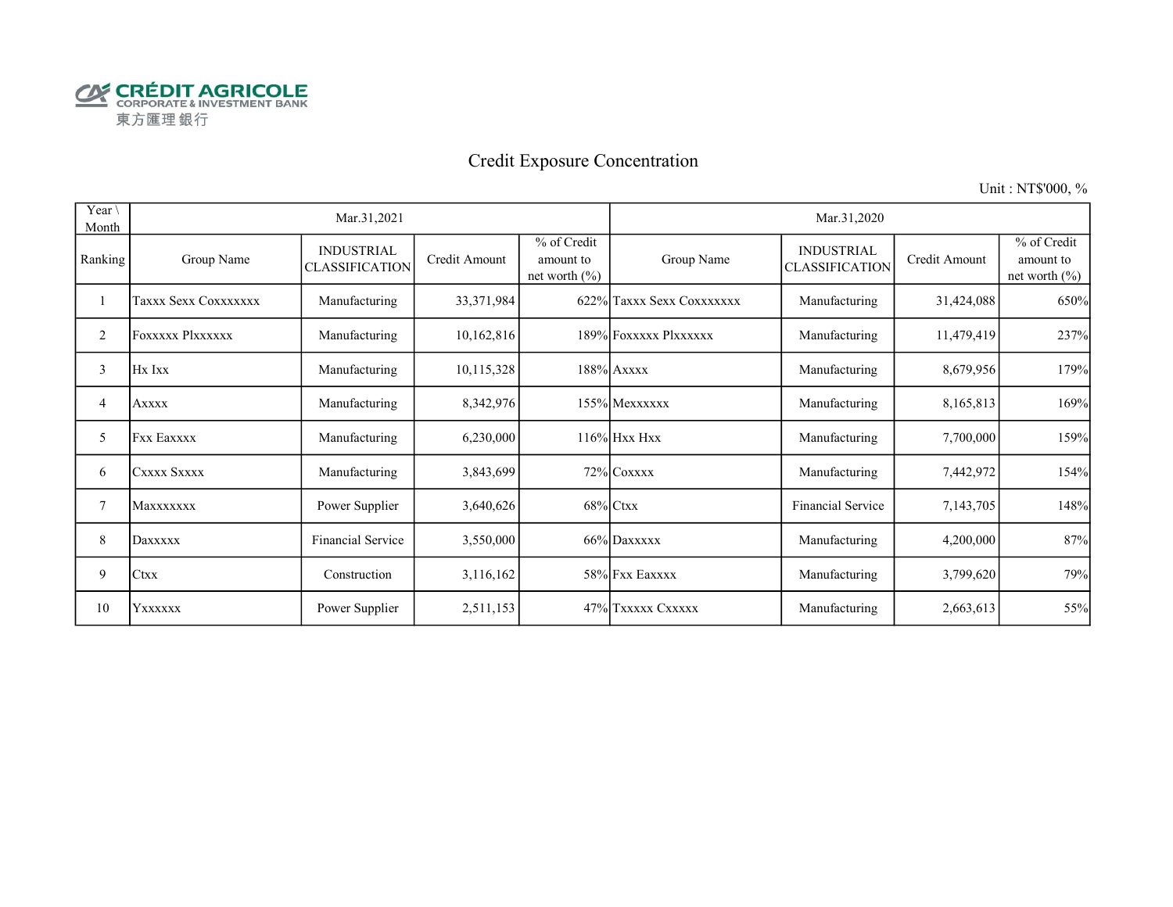

# Credit Exposure Concentration

Unit : NT\$'000, %

| Year \<br>Month |                      | Mar.31,2021                                |               |                                               |                           | Mar.31,2020                                |               |                                               |
|-----------------|----------------------|--------------------------------------------|---------------|-----------------------------------------------|---------------------------|--------------------------------------------|---------------|-----------------------------------------------|
| Ranking         | Group Name           | <b>INDUSTRIAL</b><br><b>CLASSIFICATION</b> | Credit Amount | % of Credit<br>amount to<br>net worth $(\% )$ | Group Name                | <b>INDUSTRIAL</b><br><b>CLASSIFICATION</b> | Credit Amount | % of Credit<br>amount to<br>net worth $(\% )$ |
|                 | Taxxx Sexx Coxxxxxxx | Manufacturing                              | 33, 371, 984  |                                               | 622% Taxxx Sexx Coxxxxxxx | Manufacturing                              | 31,424,088    | 650%                                          |
| 2               | FOXXXXX Plxxxxxx     | Manufacturing                              | 10,162,816    |                                               | 189% Foxxxxx Plxxxxxx     | Manufacturing                              | 11,479,419    | 237%                                          |
| 3               | Hx Ixx               | Manufacturing                              | 10,115,328    |                                               | $188\%$ Axxxx             | Manufacturing                              | 8,679,956     | 179%                                          |
| 4               | Axxxx                | Manufacturing                              | 8,342,976     |                                               | 155% Mexxxxxx             | Manufacturing                              | 8,165,813     | 169%                                          |
| 5               | <b>Fxx Eaxxxx</b>    | Manufacturing                              | 6,230,000     |                                               | $116\%$ Hxx Hxx           | Manufacturing                              | 7,700,000     | 159%                                          |
| 6               | CXXXX SXXXX          | Manufacturing                              | 3,843,699     |                                               | 72% COXXXX                | Manufacturing                              | 7,442,972     | 154%                                          |
| 7               | <b>Maxxxxxxx</b>     | Power Supplier                             | 3,640,626     |                                               | $68\%$ Ctxx               | <b>Financial Service</b>                   | 7,143,705     | 148%                                          |
| 8               | Daxxxxx              | Financial Service                          | 3,550,000     |                                               | 66% Daxxxxx               | Manufacturing                              | 4,200,000     | 87%                                           |
| 9               | <b>Ctxx</b>          | Construction                               | 3,116,162     |                                               | 58% Fxx Eaxxxx            | Manufacturing                              | 3,799,620     | 79%                                           |
| 10              | YXXXXX               | Power Supplier                             | 2,511,153     |                                               | 47% Txxxxx Cxxxxx         | Manufacturing                              | 2,663,613     | 55%                                           |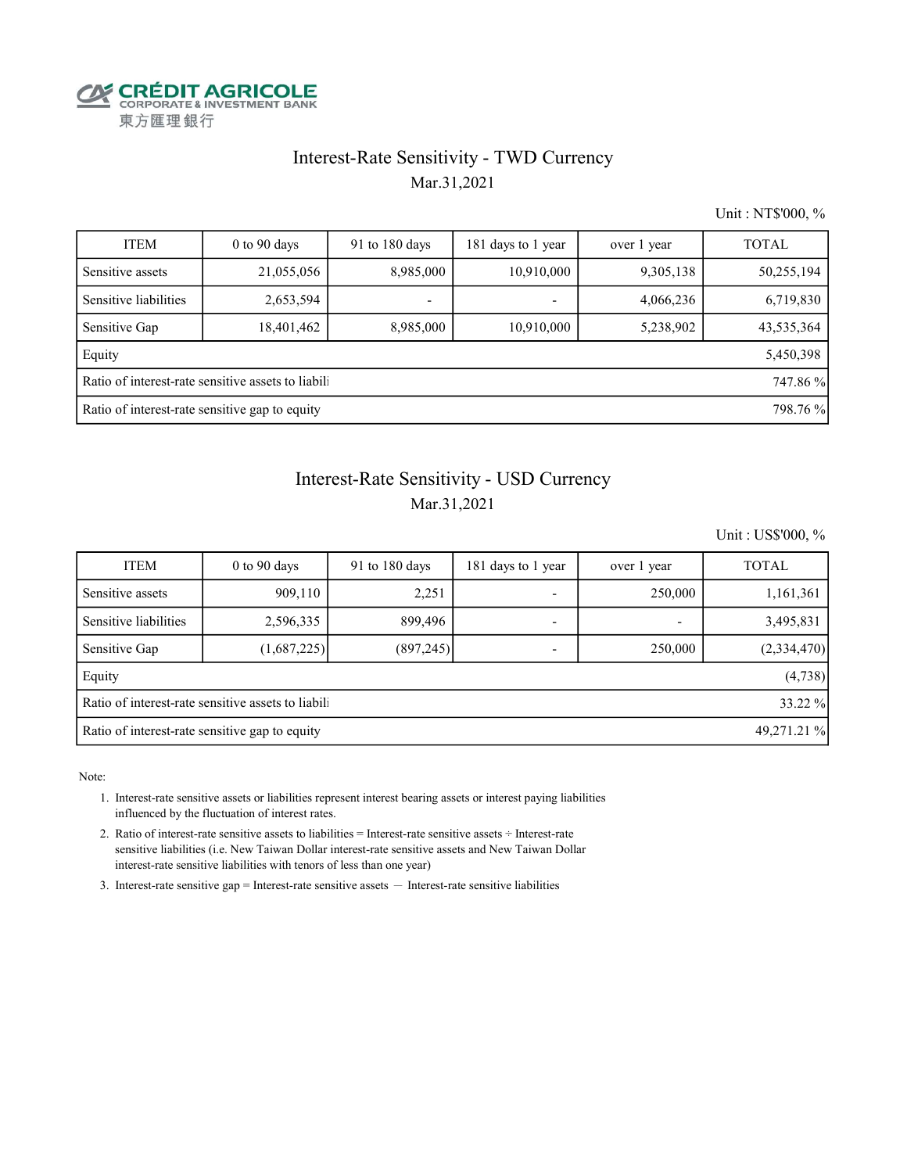

#### Interest-Rate Sensitivity - TWD Currency

Mar.31,2021

Unit : NT\$'000, %

| <b>ITEM</b>                                               | $0$ to 90 days | 91 to 180 days | 181 days to 1 year       | over 1 year | <b>TOTAL</b> |  |  |  |  |
|-----------------------------------------------------------|----------------|----------------|--------------------------|-------------|--------------|--|--|--|--|
| Sensitive assets                                          | 21,055,056     | 8,985,000      | 10,910,000               | 9,305,138   | 50,255,194   |  |  |  |  |
| Sensitive liabilities                                     | 2,653,594      |                | $\overline{\phantom{0}}$ | 4,066,236   | 6,719,830    |  |  |  |  |
| Sensitive Gap                                             | 18,401,462     | 8,985,000      | 10,910,000               | 5,238,902   | 43,535,364   |  |  |  |  |
| Equity                                                    |                |                |                          |             | 5,450,398    |  |  |  |  |
| Ratio of interest-rate sensitive assets to liabili        |                |                |                          |             |              |  |  |  |  |
| Ratio of interest-rate sensitive gap to equity<br>798.76% |                |                |                          |             |              |  |  |  |  |

#### Interest-Rate Sensitivity - USD Currency

Mar.31,2021

Unit : US\$'000, %

| <b>ITEM</b>                                                   | $0$ to 90 days | 91 to 180 days | 181 days to 1 year       | over 1 year | <b>TOTAL</b> |  |  |  |
|---------------------------------------------------------------|----------------|----------------|--------------------------|-------------|--------------|--|--|--|
| Sensitive assets                                              | 909,110        | 2,251          | ۰                        | 250,000     | 1,161,361    |  |  |  |
| Sensitive liabilities                                         | 2,596,335      | 899,496        | ۰                        |             | 3,495,831    |  |  |  |
| Sensitive Gap                                                 | (1,687,225)    | (897,245)      | $\overline{\phantom{0}}$ | 250,000     | (2,334,470)  |  |  |  |
| Equity                                                        |                |                |                          |             | (4,738)      |  |  |  |
| Ratio of interest-rate sensitive assets to liabil             |                |                |                          |             |              |  |  |  |
| Ratio of interest-rate sensitive gap to equity<br>49,271.21 % |                |                |                          |             |              |  |  |  |

Note:

 1. Interest-rate sensitive assets or liabilities represent interest bearing assets or interest paying liabilities influenced by the fluctuation of interest rates.

 2. Ratio of interest-rate sensitive assets to liabilities = Interest-rate sensitive assets ÷ Interest-rate sensitive liabilities (i.e. New Taiwan Dollar interest-rate sensitive assets and New Taiwan Dollar interest-rate sensitive liabilities with tenors of less than one year)

3. Interest-rate sensitive gap = Interest-rate sensitive assets  $-$  Interest-rate sensitive liabilities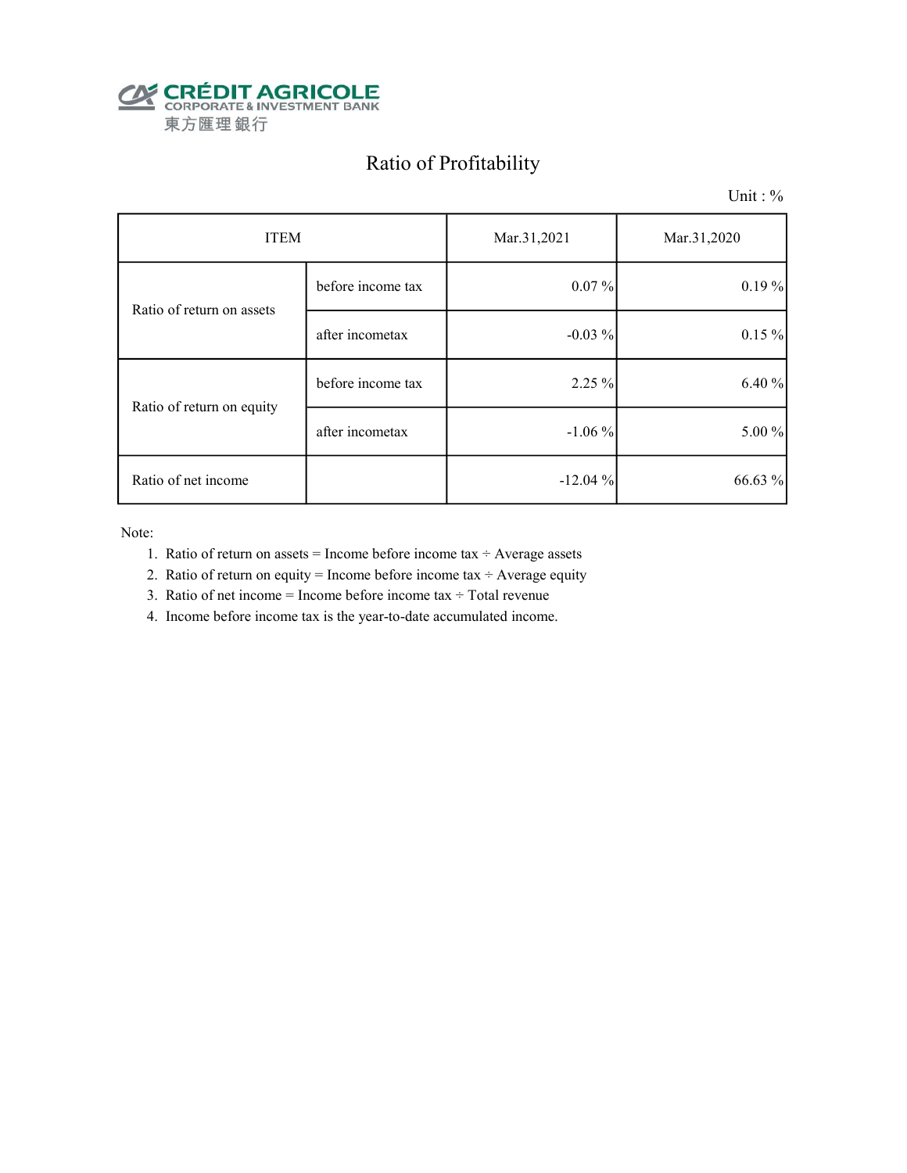

## Ratio of Profitability

Unit : %

| <b>ITEM</b>               |                   | Mar.31,2021 | Mar.31,2020 |
|---------------------------|-------------------|-------------|-------------|
| Ratio of return on assets | before income tax | $0.07\%$    | 0.19%       |
|                           | after incometax   | $-0.03\%$   | $0.15\%$    |
| Ratio of return on equity | before income tax | 2.25 %      | 6.40 %      |
|                           | after incometax   | $-1.06\%$   | 5.00 %      |
| Ratio of net income       |                   | $-12.04%$   | 66.63 %     |

Note:

- 1. Ratio of return on assets = Income before income tax  $\div$  Average assets
- 2. Ratio of return on equity = Income before income tax  $\div$  Average equity
- 3. Ratio of net income = Income before income tax  $\div$  Total revenue
- 4. Income before income tax is the year-to-date accumulated income.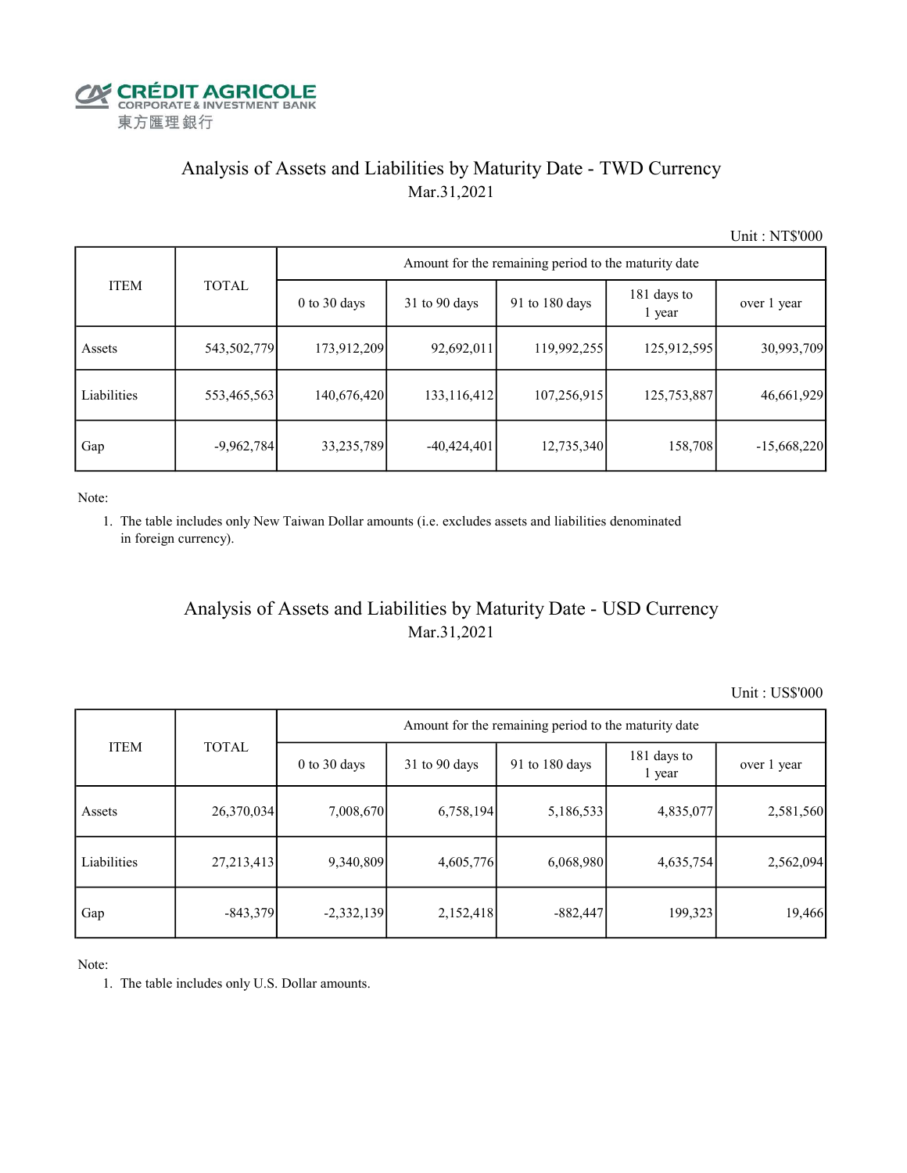

#### Analysis of Assets and Liabilities by Maturity Date - TWD Currency Mar.31,2021

Unit : NT\$'000

|             |              | Amount for the remaining period to the maturity date |                 |                          |                       |               |  |  |  |  |
|-------------|--------------|------------------------------------------------------|-----------------|--------------------------|-----------------------|---------------|--|--|--|--|
| <b>ITEM</b> | <b>TOTAL</b> | $0$ to $30$ days                                     | $31$ to 90 days | 91 to $180 \text{ days}$ | 181 days to<br>1 year | over 1 year   |  |  |  |  |
| Assets      | 543,502,779  | 173,912,209                                          | 92,692,011      | 119,992,255              | 125,912,595           | 30,993,709    |  |  |  |  |
| Liabilities | 553,465,563  | 140,676,420                                          | 133,116,412     | 107,256,915              | 125,753,887           | 46,661,929    |  |  |  |  |
| Gap         | $-9,962,784$ | 33,235,789                                           | $-40,424,401$   | 12,735,340               | 158,708               | $-15,668,220$ |  |  |  |  |

Note:

 1. The table includes only New Taiwan Dollar amounts (i.e. excludes assets and liabilities denominated in foreign currency).

#### Analysis of Assets and Liabilities by Maturity Date - USD Currency Mar.31,2021

Unit : US\$'000

| <b>ITEM</b> | <b>TOTAL</b> | Amount for the remaining period to the maturity date |                 |                |                       |             |  |  |
|-------------|--------------|------------------------------------------------------|-----------------|----------------|-----------------------|-------------|--|--|
|             |              | $0$ to $30$ days                                     | $31$ to 90 days | 91 to 180 days | 181 days to<br>1 year | over 1 year |  |  |
| Assets      | 26,370,034   | 7,008,670                                            | 6,758,194       | 5,186,533      | 4,835,077             | 2,581,560   |  |  |
| Liabilities | 27,213,413   | 9,340,809                                            | 4,605,776       | 6,068,980      | 4,635,754             | 2,562,094   |  |  |
| Gap         | $-843,379$   | $-2,332,139$                                         | 2,152,418       | $-882,447$     | 199,323               | 19,466      |  |  |

Note:

1. The table includes only U.S. Dollar amounts.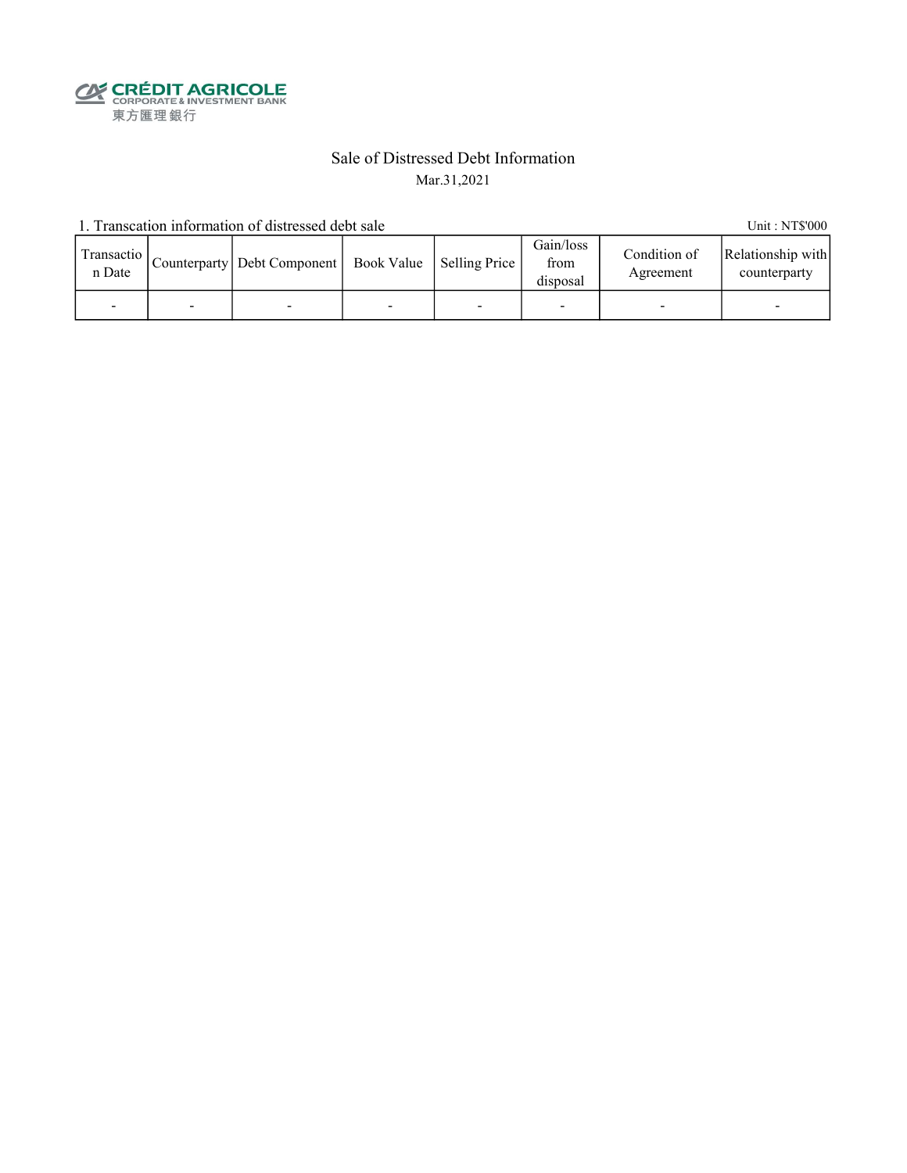**CALEDIT AGRICOLE**<br>
CORPORATE & INVESTMENT BANK<br>
東方匯理銀行

#### Sale of Distressed Debt Information Mar.31,2021

1. Transcation information of distressed debt sale Unit: NT\$'000

| Transactio<br>n Date |   | Counterparty   Debt Component   Book Value   Selling Price |   | Gain/loss<br>from<br>disposal | Condition of<br>Agreement | Relationship with<br>counterparty |
|----------------------|---|------------------------------------------------------------|---|-------------------------------|---------------------------|-----------------------------------|
|                      | - |                                                            | - |                               |                           | -                                 |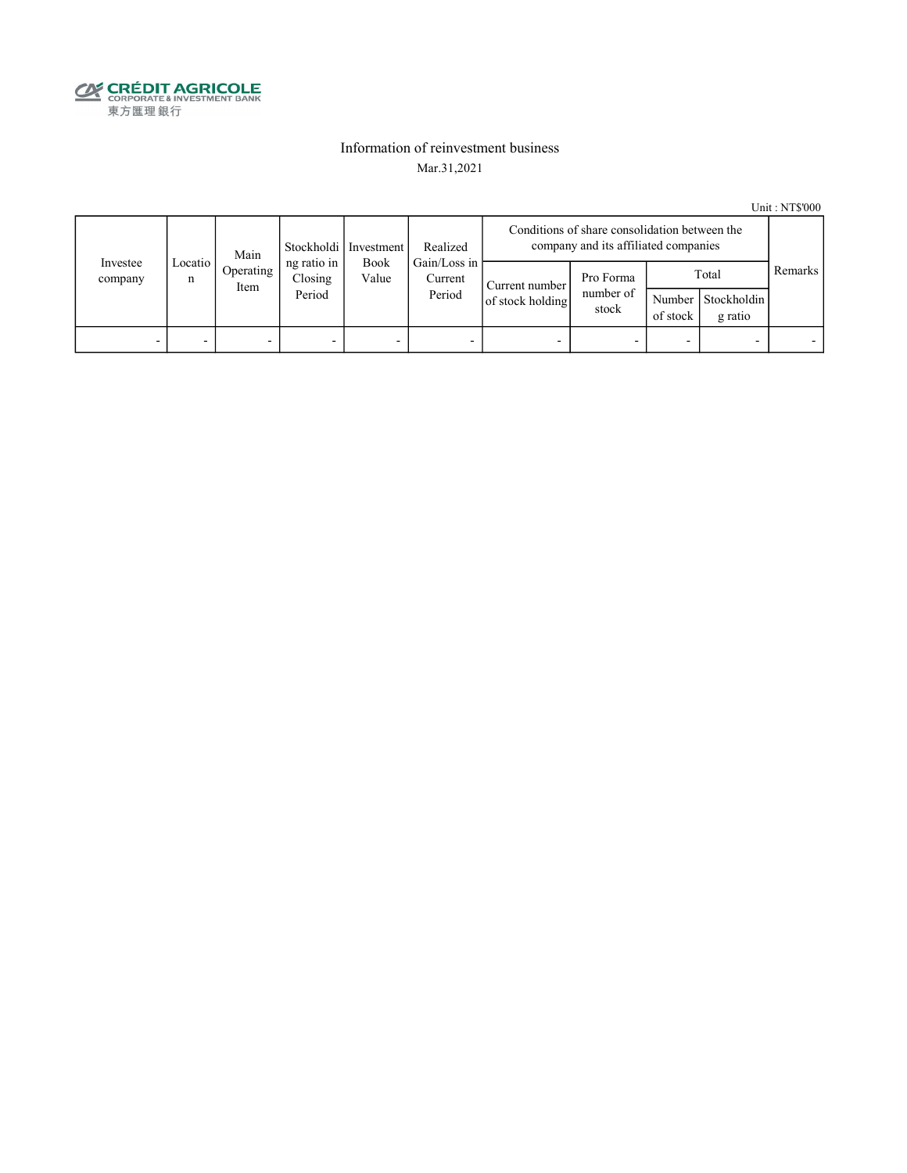

#### Information of reinvestment business Mar.31,2021

Unit : NT\$'000

|                     | Main         |                                            |         | Realized<br>Stockholdi   Investment |                                   | Conditions of share consolidation between the<br>company and its affiliated companies |                                 |                    |                                 |         |
|---------------------|--------------|--------------------------------------------|---------|-------------------------------------|-----------------------------------|---------------------------------------------------------------------------------------|---------------------------------|--------------------|---------------------------------|---------|
| Investee<br>company | Locatio<br>n | ng ratio in<br>Operating<br>Item<br>Period | Closing | Book<br>Value                       | Gain/Loss in<br>Current<br>Period | Current number<br>of stock holding                                                    | Pro Forma<br>number of<br>stock | Number<br>of stock | Total<br>Stockholdin<br>g ratio | Remarks |
| -                   |              | -                                          |         | -                                   |                                   | -                                                                                     |                                 |                    | -                               |         |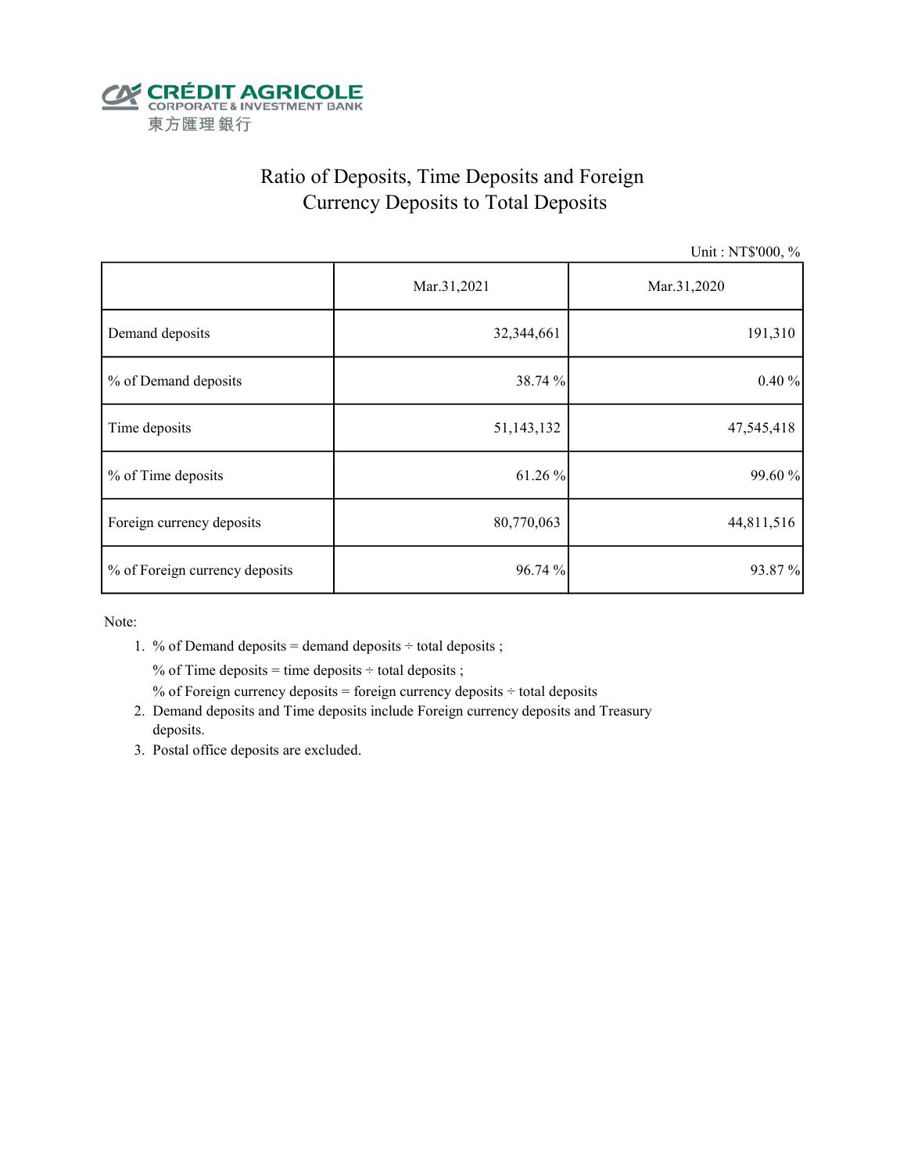

## Ratio of Deposits, Time Deposits and Foreign Currency Deposits to Total Deposits

Unit : NT\$'000, %

|                                | Mar.31,2021 | Mar.31,2020 |  |
|--------------------------------|-------------|-------------|--|
| Demand deposits                | 32,344,661  | 191,310     |  |
| % of Demand deposits           | 38.74 %     | 0.40%       |  |
| Time deposits                  | 51,143,132  | 47,545,418  |  |
| % of Time deposits             | 61.26 %     | 99.60 %     |  |
| Foreign currency deposits      | 80,770,063  | 44,811,516  |  |
| % of Foreign currency deposits | 96.74 %     | 93.87%      |  |

Note:

1. % of Demand deposits = demand deposits  $\div$  total deposits ;

% of Time deposits = time deposits  $\div$  total deposits ;

% of Foreign currency deposits = foreign currency deposits  $\div$  total deposits

- 2. Demand deposits and Time deposits include Foreign currency deposits and Treasury deposits.
- 3. Postal office deposits are excluded.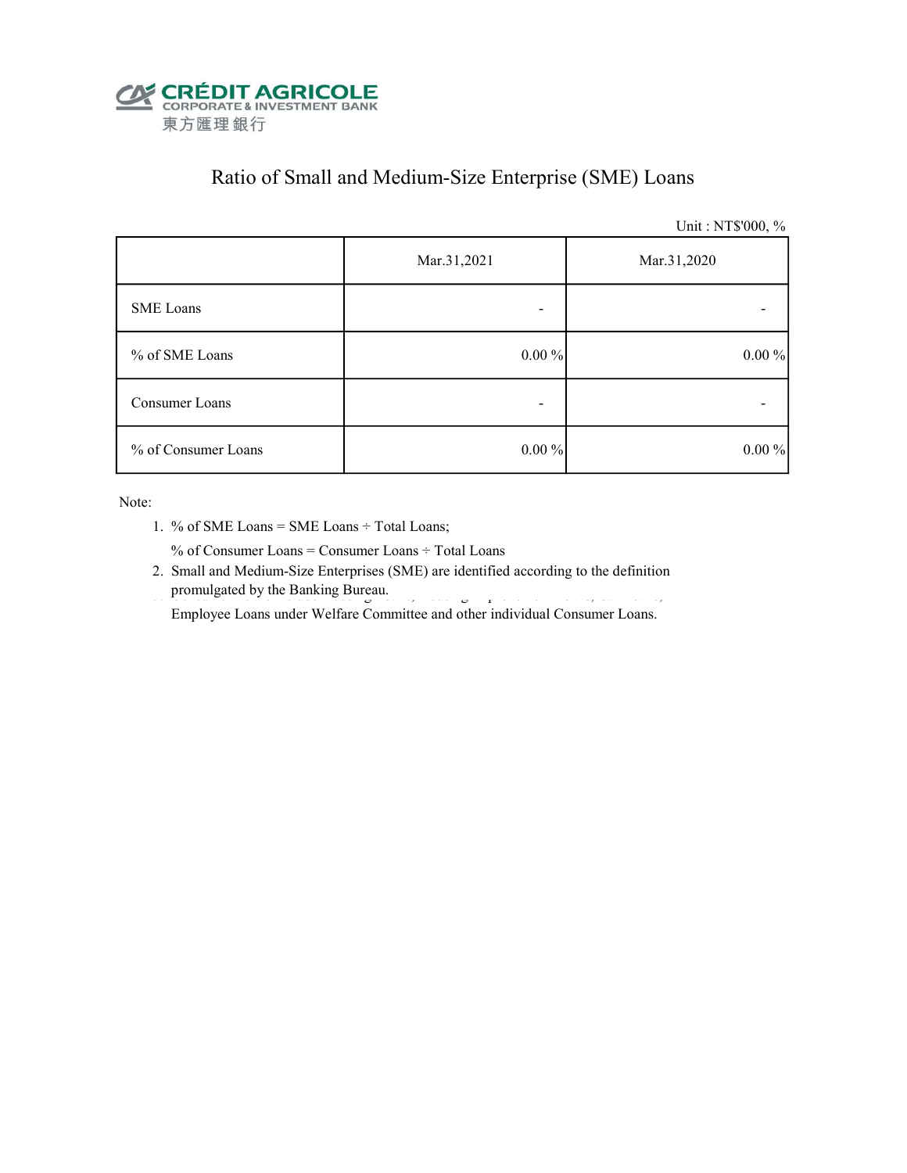

## Ratio of Small and Medium-Size Enterprise (SME) Loans

Unit : NT\$'000, %

|                     | Mar.31,2021<br>Mar.31,2020 |          |  |
|---------------------|----------------------------|----------|--|
| <b>SME</b> Loans    |                            |          |  |
| % of SME Loans      | $0.00\%$                   | $0.00\%$ |  |
| Consumer Loans      | ۰                          |          |  |
| % of Consumer Loans | $0.00\%$                   | $0.00\%$ |  |

Note:

1. % of SME Loans = SME Loans ÷ Total Loans;

% of Consumer Loans = Consumer Loans ÷ Total Loans

 2. Small and Medium-Size Enterprises (SME) are identified according to the definition promulgated by the Banking Bureau.

Employee Loans under Welfare Committee and other individual Consumer Loans.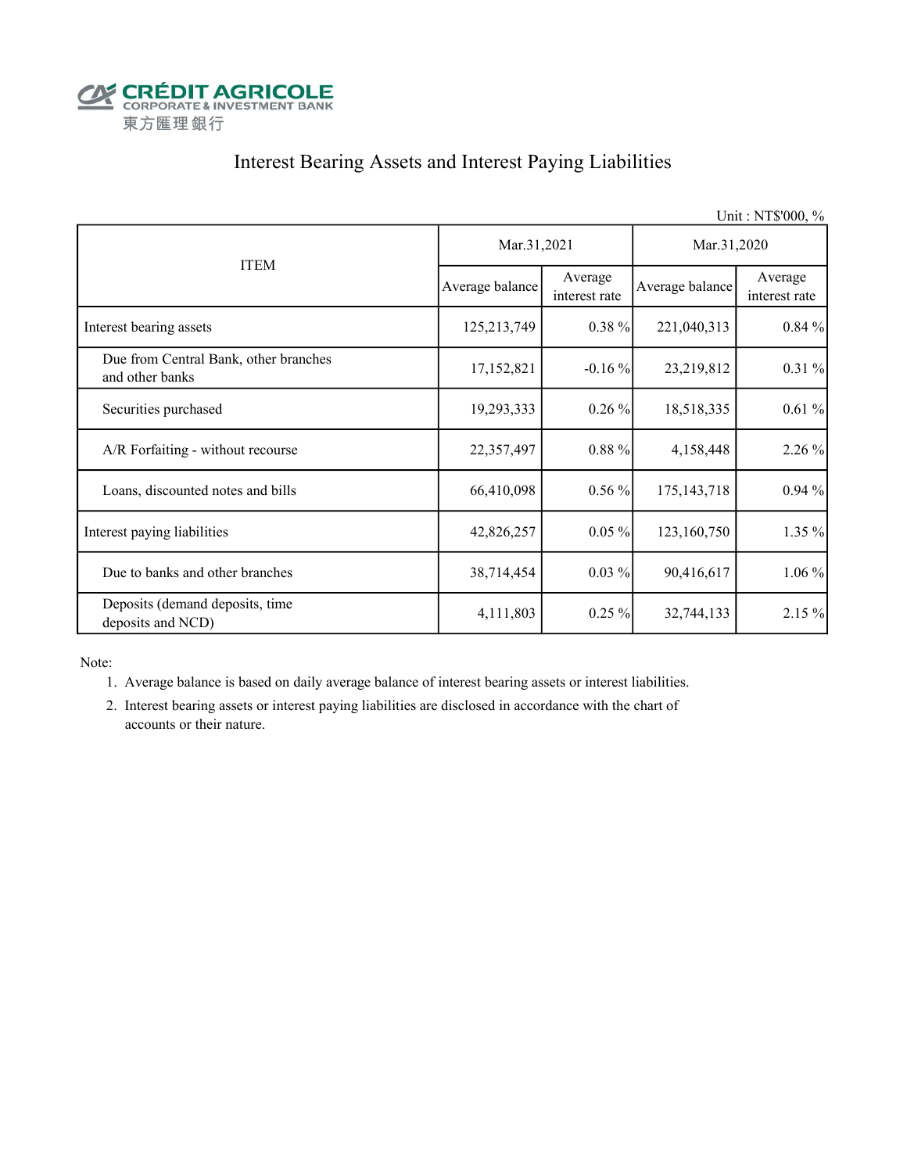

### Interest Bearing Assets and Interest Paying Liabilities

|                                                          |                 |                          |                 | Unit: NT\$'000, %        |  |
|----------------------------------------------------------|-----------------|--------------------------|-----------------|--------------------------|--|
|                                                          | Mar.31,2021     |                          | Mar.31,2020     |                          |  |
| <b>ITEM</b>                                              | Average balance | Average<br>interest rate | Average balance | Average<br>interest rate |  |
| Interest bearing assets                                  | 125,213,749     | $0.38 \%$                | 221,040,313     | $0.84\%$                 |  |
| Due from Central Bank, other branches<br>and other banks | 17,152,821      | $-0.16\%$                | 23,219,812      | $0.31\%$                 |  |
| Securities purchased                                     | 19,293,333      | $0.26\%$                 | 18,518,335      | 0.61%                    |  |
| A/R Forfaiting - without recourse                        | 22,357,497      | $0.88 \%$                | 4,158,448       | 2.26 %                   |  |
| Loans, discounted notes and bills                        | 66,410,098      | $0.56\%$                 | 175, 143, 718   | $0.94\%$                 |  |
| Interest paying liabilities                              | 42,826,257      | $0.05\%$                 | 123,160,750     | 1.35 %                   |  |
| Due to banks and other branches                          | 38,714,454      | $0.03\%$                 | 90,416,617      | $1.06\%$                 |  |
| Deposits (demand deposits, time<br>deposits and NCD)     | 4,111,803       | $0.25\%$                 | 32,744,133      | 2.15 %                   |  |

Note:

- 1. Average balance is based on daily average balance of interest bearing assets or interest liabilities.
- 2. Interest bearing assets or interest paying liabilities are disclosed in accordance with the chart of accounts or their nature.